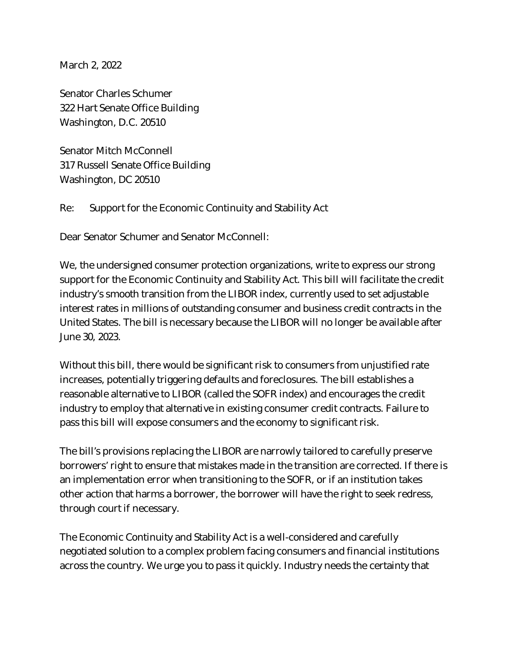March 2, 2022

Senator Charles Schumer 322 Hart Senate Office Building Washington, D.C. 20510

Senator Mitch McConnell 317 Russell Senate Office Building Washington, DC 20510

Re: Support for the Economic Continuity and Stability Act

Dear Senator Schumer and Senator McConnell:

We, the undersigned consumer protection organizations, write to express our strong support for the Economic Continuity and Stability Act. This bill will facilitate the credit industry's smooth transition from the LIBOR index, currently used to set adjustable interest rates in millions of outstanding consumer and business credit contracts in the United States. The bill is necessary because the LIBOR will no longer be available after June 30, 2023.

Without this bill, there would be significant risk to consumers from unjustified rate increases, potentially triggering defaults and foreclosures. The bill establishes a reasonable alternative to LIBOR (called the SOFR index) and encourages the credit industry to employ that alternative in existing consumer credit contracts. Failure to pass this bill will expose consumers and the economy to significant risk.

The bill's provisions replacing the LIBOR are narrowly tailored to carefully preserve borrowers' right to ensure that mistakes made in the transition are corrected. If there is an implementation error when transitioning to the SOFR, or if an institution takes other action that harms a borrower, the borrower will have the right to seek redress, through court if necessary.

The Economic Continuity and Stability Act is a well-considered and carefully negotiated solution to a complex problem facing consumers and financial institutions across the country. We urge you to pass it quickly. Industry needs the certainty that